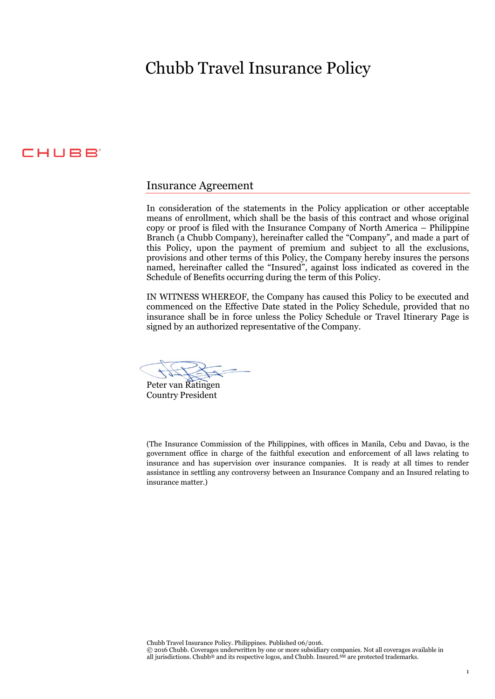# Chubb Travel Insurance Policy

# CHUBB

# Insurance Agreement

In consideration of the statements in the Policy application or other acceptable means of enrollment, which shall be the basis of this contract and whose original copy or proof is filed with the Insurance Company of North America – Philippine Branch (a Chubb Company), hereinafter called the "Company", and made a part of this Policy, upon the payment of premium and subject to all the exclusions, provisions and other terms of this Policy, the Company hereby insures the persons named, hereinafter called the "Insured", against loss indicated as covered in the Schedule of Benefits occurring during the term of this Policy.

IN WITNESS WHEREOF, the Company has caused this Policy to be executed and commenced on the Effective Date stated in the Policy Schedule, provided that no insurance shall be in force unless the Policy Schedule or Travel Itinerary Page is signed by an authorized representative of the Company.

Peter van Ratingen Country President

(The Insurance Commission of the Philippines, with offices in Manila, Cebu and Davao, is the government office in charge of the faithful execution and enforcement of all laws relating to insurance and has supervision over insurance companies. It is ready at all times to render assistance in settling any controversy between an Insurance Company and an Insured relating to insurance matter.)

Chubb Travel Insurance Policy. Philippines. Published 06/2016.

© 2016 Chubb. Coverages underwritten by one or more subsidiary companies. Not all coverages available in all jurisdictions. Chubb® and its respective logos, and Chubb. Insured.<sup>SM</sup> are protected trademarks.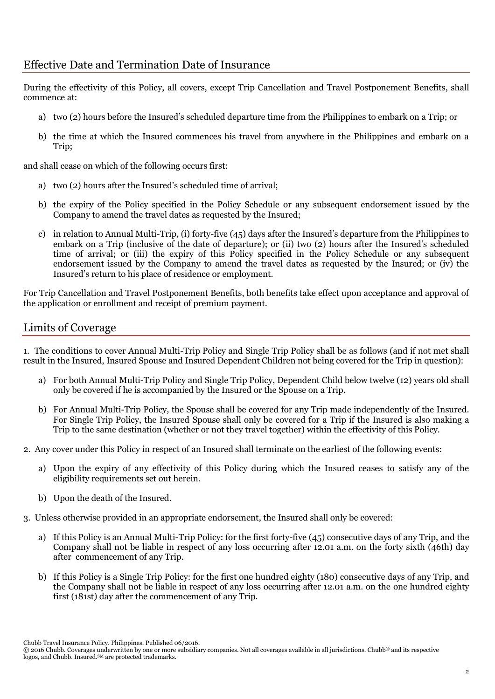# Effective Date and Termination Date of Insurance

During the effectivity of this Policy, all covers, except Trip Cancellation and Travel Postponement Benefits, shall commence at:

- a) two (2) hours before the Insured's scheduled departure time from the Philippines to embark on a Trip; or
- b) the time at which the Insured commences his travel from anywhere in the Philippines and embark on a Trip;

and shall cease on which of the following occurs first:

- a) two (2) hours after the Insured's scheduled time of arrival;
- b) the expiry of the Policy specified in the Policy Schedule or any subsequent endorsement issued by the Company to amend the travel dates as requested by the Insured;
- c) in relation to Annual Multi-Trip, (i) forty-five (45) days after the Insured's departure from the Philippines to embark on a Trip (inclusive of the date of departure); or (ii) two (2) hours after the Insured's scheduled time of arrival; or (iii) the expiry of this Policy specified in the Policy Schedule or any subsequent endorsement issued by the Company to amend the travel dates as requested by the Insured; or (iv) the Insured's return to his place of residence or employment.

For Trip Cancellation and Travel Postponement Benefits, both benefits take effect upon acceptance and approval of the application or enrollment and receipt of premium payment.

# Limits of Coverage

1. The conditions to cover Annual Multi-Trip Policy and Single Trip Policy shall be as follows (and if not met shall result in the Insured, Insured Spouse and Insured Dependent Children not being covered for the Trip in question):

- a) For both Annual Multi-Trip Policy and Single Trip Policy, Dependent Child below twelve (12) years old shall only be covered if he is accompanied by the Insured or the Spouse on a Trip.
- b) For Annual Multi-Trip Policy, the Spouse shall be covered for any Trip made independently of the Insured. For Single Trip Policy, the Insured Spouse shall only be covered for a Trip if the Insured is also making a Trip to the same destination (whether or not they travel together) within the effectivity of this Policy.
- 2. Any cover under this Policy in respect of an Insured shall terminate on the earliest of the following events:
	- a) Upon the expiry of any effectivity of this Policy during which the Insured ceases to satisfy any of the eligibility requirements set out herein.
	- b) Upon the death of the Insured.
- 3. Unless otherwise provided in an appropriate endorsement, the Insured shall only be covered:
	- a) If this Policy is an Annual Multi-Trip Policy: for the first forty-five (45) consecutive days of any Trip, and the Company shall not be liable in respect of any loss occurring after 12.01 a.m. on the forty sixth (46th) day after commencement of any Trip.
	- b) If this Policy is a Single Trip Policy: for the first one hundred eighty (180) consecutive days of any Trip, and the Company shall not be liable in respect of any loss occurring after 12.01 a.m. on the one hundred eighty first (181st) day after the commencement of any Trip.

Chubb Travel Insurance Policy. Philippines. Published 06/2016.

<sup>© 2016</sup> Chubb. Coverages underwritten by one or more subsidiary companies. Not all coverages available in all jurisdictions. Chubb® and its respective logos, and Chubb. Insured.<sup>SM</sup> are protected trademarks.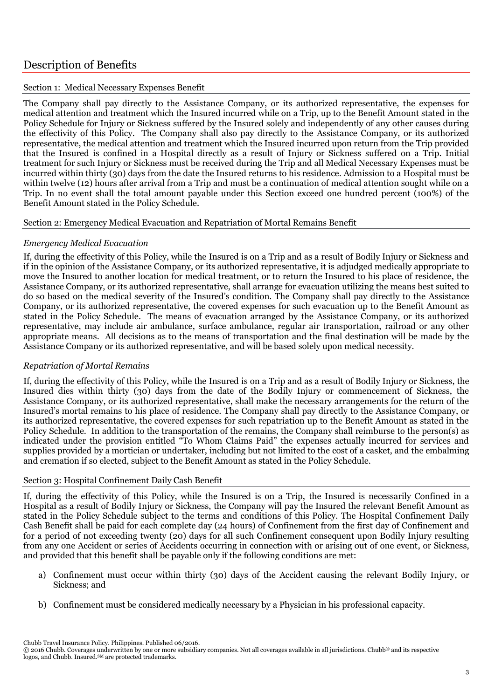# Description of Benefits

# Section 1: Medical Necessary Expenses Benefit

The Company shall pay directly to the Assistance Company, or its authorized representative, the expenses for medical attention and treatment which the Insured incurred while on a Trip, up to the Benefit Amount stated in the Policy Schedule for Injury or Sickness suffered by the Insured solely and independently of any other causes during the effectivity of this Policy. The Company shall also pay directly to the Assistance Company, or its authorized representative, the medical attention and treatment which the Insured incurred upon return from the Trip provided that the Insured is confined in a Hospital directly as a result of Injury or Sickness suffered on a Trip. Initial treatment for such Injury or Sickness must be received during the Trip and all Medical Necessary Expenses must be incurred within thirty (30) days from the date the Insured returns to his residence. Admission to a Hospital must be within twelve (12) hours after arrival from a Trip and must be a continuation of medical attention sought while on a Trip. In no event shall the total amount payable under this Section exceed one hundred percent (100%) of the Benefit Amount stated in the Policy Schedule.

#### Section 2: Emergency Medical Evacuation and Repatriation of Mortal Remains Benefit

# *Emergency Medical Evacuation*

If, during the effectivity of this Policy, while the Insured is on a Trip and as a result of Bodily Injury or Sickness and if in the opinion of the Assistance Company, or its authorized representative, it is adjudged medically appropriate to move the Insured to another location for medical treatment, or to return the Insured to his place of residence, the Assistance Company, or its authorized representative, shall arrange for evacuation utilizing the means best suited to do so based on the medical severity of the Insured's condition. The Company shall pay directly to the Assistance Company, or its authorized representative, the covered expenses for such evacuation up to the Benefit Amount as stated in the Policy Schedule. The means of evacuation arranged by the Assistance Company, or its authorized representative, may include air ambulance, surface ambulance, regular air transportation, railroad or any other appropriate means. All decisions as to the means of transportation and the final destination will be made by the Assistance Company or its authorized representative, and will be based solely upon medical necessity.

# *Repatriation of Mortal Remains*

If, during the effectivity of this Policy, while the Insured is on a Trip and as a result of Bodily Injury or Sickness, the Insured dies within thirty (30) days from the date of the Bodily Injury or commencement of Sickness, the Assistance Company, or its authorized representative, shall make the necessary arrangements for the return of the Insured's mortal remains to his place of residence. The Company shall pay directly to the Assistance Company, or its authorized representative, the covered expenses for such repatriation up to the Benefit Amount as stated in the Policy Schedule. In addition to the transportation of the remains, the Company shall reimburse to the person(s) as indicated under the provision entitled "To Whom Claims Paid" the expenses actually incurred for services and supplies provided by a mortician or undertaker, including but not limited to the cost of a casket, and the embalming and cremation if so elected, subject to the Benefit Amount as stated in the Policy Schedule.

# Section 3: Hospital Confinement Daily Cash Benefit

If, during the effectivity of this Policy, while the Insured is on a Trip, the Insured is necessarily Confined in a Hospital as a result of Bodily Injury or Sickness, the Company will pay the Insured the relevant Benefit Amount as stated in the Policy Schedule subject to the terms and conditions of this Policy. The Hospital Confinement Daily Cash Benefit shall be paid for each complete day (24 hours) of Confinement from the first day of Confinement and for a period of not exceeding twenty (20) days for all such Confinement consequent upon Bodily Injury resulting from any one Accident or series of Accidents occurring in connection with or arising out of one event, or Sickness, and provided that this benefit shall be payable only if the following conditions are met:

- a) Confinement must occur within thirty (30) days of the Accident causing the relevant Bodily Injury, or Sickness; and
- b) Confinement must be considered medically necessary by a Physician in his professional capacity.

<sup>© 2016</sup> Chubb. Coverages underwritten by one or more subsidiary companies. Not all coverages available in all jurisdictions. Chubb® and its respective logos, and Chubb. Insured.<sup>SM</sup> are protected trademarks.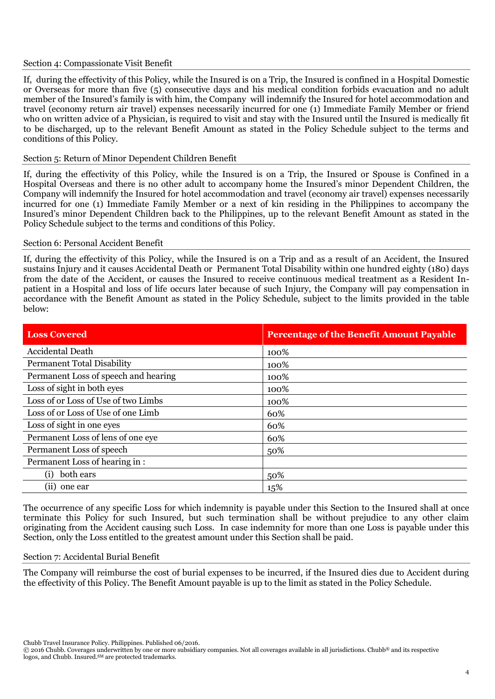#### Section 4: Compassionate Visit Benefit

If, during the effectivity of this Policy, while the Insured is on a Trip, the Insured is confined in a Hospital Domestic or Overseas for more than five (5) consecutive days and his medical condition forbids evacuation and no adult member of the Insured's family is with him, the Company will indemnify the Insured for hotel accommodation and travel (economy return air travel) expenses necessarily incurred for one (1) Immediate Family Member or friend who on written advice of a Physician, is required to visit and stay with the Insured until the Insured is medically fit to be discharged, up to the relevant Benefit Amount as stated in the Policy Schedule subject to the terms and conditions of this Policy.

#### Section 5: Return of Minor Dependent Children Benefit

If, during the effectivity of this Policy, while the Insured is on a Trip, the Insured or Spouse is Confined in a Hospital Overseas and there is no other adult to accompany home the Insured's minor Dependent Children, the Company will indemnify the Insured for hotel accommodation and travel (economy air travel) expenses necessarily incurred for one (1) Immediate Family Member or a next of kin residing in the Philippines to accompany the Insured's minor Dependent Children back to the Philippines, up to the relevant Benefit Amount as stated in the Policy Schedule subject to the terms and conditions of this Policy.

#### Section 6: Personal Accident Benefit

If, during the effectivity of this Policy, while the Insured is on a Trip and as a result of an Accident, the Insured sustains Injury and it causes Accidental Death or Permanent Total Disability within one hundred eighty (180) days from the date of the Accident, or causes the Insured to receive continuous medical treatment as a Resident Inpatient in a Hospital and loss of life occurs later because of such Injury, the Company will pay compensation in accordance with the Benefit Amount as stated in the Policy Schedule, subject to the limits provided in the table below:

| <b>Loss Covered</b>                  | <b>Percentage of the Benefit Amount Payable</b> |
|--------------------------------------|-------------------------------------------------|
| <b>Accidental Death</b>              | 100%                                            |
| <b>Permanent Total Disability</b>    | 100%                                            |
| Permanent Loss of speech and hearing | 100%                                            |
| Loss of sight in both eyes           | 100%                                            |
| Loss of or Loss of Use of two Limbs  | 100%                                            |
| Loss of or Loss of Use of one Limb   | 60%                                             |
| Loss of sight in one eyes            | 60%                                             |
| Permanent Loss of lens of one eye    | 60%                                             |
| Permanent Loss of speech             | 50%                                             |
| Permanent Loss of hearing in:        |                                                 |
| both ears<br>(i)                     | 50%                                             |
| (i)<br>one ear                       | 15%                                             |

The occurrence of any specific Loss for which indemnity is payable under this Section to the Insured shall at once terminate this Policy for such Insured, but such termination shall be without prejudice to any other claim originating from the Accident causing such Loss. In case indemnity for more than one Loss is payable under this Section, only the Loss entitled to the greatest amount under this Section shall be paid.

#### Section 7: Accidental Burial Benefit

The Company will reimburse the cost of burial expenses to be incurred, if the Insured dies due to Accident during the effectivity of this Policy. The Benefit Amount payable is up to the limit as stated in the Policy Schedule.

<sup>© 2016</sup> Chubb. Coverages underwritten by one or more subsidiary companies. Not all coverages available in all jurisdictions. Chubb® and its respective logos, and Chubb. Insured.<sup>SM</sup> are protected trademarks.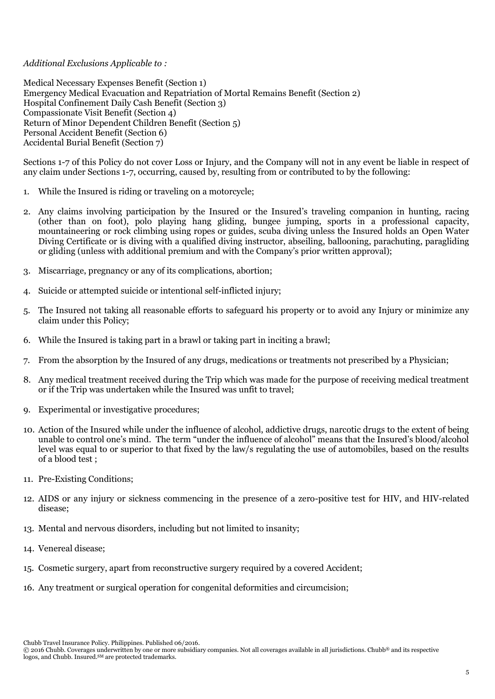# *Additional Exclusions Applicable to :*

Medical Necessary Expenses Benefit (Section 1) Emergency Medical Evacuation and Repatriation of Mortal Remains Benefit (Section 2) Hospital Confinement Daily Cash Benefit (Section 3) Compassionate Visit Benefit (Section 4) Return of Minor Dependent Children Benefit (Section 5) Personal Accident Benefit (Section 6) Accidental Burial Benefit (Section 7)

Sections 1-7 of this Policy do not cover Loss or Injury, and the Company will not in any event be liable in respect of any claim under Sections 1-7, occurring, caused by, resulting from or contributed to by the following:

- 1. While the Insured is riding or traveling on a motorcycle;
- 2. Any claims involving participation by the Insured or the Insured's traveling companion in hunting, racing (other than on foot), polo playing hang gliding, bungee jumping, sports in a professional capacity, mountaineering or rock climbing using ropes or guides, scuba diving unless the Insured holds an Open Water Diving Certificate or is diving with a qualified diving instructor, abseiling, ballooning, parachuting, paragliding or gliding (unless with additional premium and with the Company's prior written approval);
- 3. Miscarriage, pregnancy or any of its complications, abortion;
- 4. Suicide or attempted suicide or intentional self-inflicted injury;
- 5. The Insured not taking all reasonable efforts to safeguard his property or to avoid any Injury or minimize any claim under this Policy;
- 6. While the Insured is taking part in a brawl or taking part in inciting a brawl;
- 7. From the absorption by the Insured of any drugs, medications or treatments not prescribed by a Physician;
- 8. Any medical treatment received during the Trip which was made for the purpose of receiving medical treatment or if the Trip was undertaken while the Insured was unfit to travel;
- 9. Experimental or investigative procedures;
- 10. Action of the Insured while under the influence of alcohol, addictive drugs, narcotic drugs to the extent of being unable to control one's mind. The term "under the influence of alcohol" means that the Insured's blood/alcohol level was equal to or superior to that fixed by the law/s regulating the use of automobiles, based on the results of a blood test ;
- 11. Pre-Existing Conditions;
- 12. AIDS or any injury or sickness commencing in the presence of a zero-positive test for HIV, and HIV-related disease;
- 13. Mental and nervous disorders, including but not limited to insanity;
- 14. Venereal disease;
- 15. Cosmetic surgery, apart from reconstructive surgery required by a covered Accident;
- 16. Any treatment or surgical operation for congenital deformities and circumcision;

Chubb Travel Insurance Policy. Philippines. Published 06/2016.

<sup>© 2016</sup> Chubb. Coverages underwritten by one or more subsidiary companies. Not all coverages available in all jurisdictions. Chubb® and its respective logos, and Chubb. Insured.<sup>SM</sup> are protected trademarks.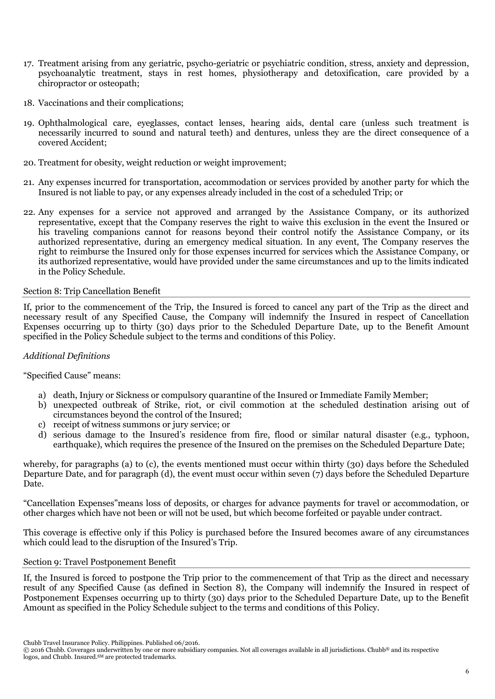- 17. Treatment arising from any geriatric, psycho-geriatric or psychiatric condition, stress, anxiety and depression, psychoanalytic treatment, stays in rest homes, physiotherapy and detoxification, care provided by a chiropractor or osteopath;
- 18. Vaccinations and their complications;
- 19. Ophthalmological care, eyeglasses, contact lenses, hearing aids, dental care (unless such treatment is necessarily incurred to sound and natural teeth) and dentures, unless they are the direct consequence of a covered Accident;
- 20. Treatment for obesity, weight reduction or weight improvement;
- 21. Any expenses incurred for transportation, accommodation or services provided by another party for which the Insured is not liable to pay, or any expenses already included in the cost of a scheduled Trip; or
- 22. Any expenses for a service not approved and arranged by the Assistance Company, or its authorized representative, except that the Company reserves the right to waive this exclusion in the event the Insured or his traveling companions cannot for reasons beyond their control notify the Assistance Company, or its authorized representative, during an emergency medical situation. In any event, The Company reserves the right to reimburse the Insured only for those expenses incurred for services which the Assistance Company, or its authorized representative, would have provided under the same circumstances and up to the limits indicated in the Policy Schedule.

# Section 8: Trip Cancellation Benefit

If, prior to the commencement of the Trip, the Insured is forced to cancel any part of the Trip as the direct and necessary result of any Specified Cause, the Company will indemnify the Insured in respect of Cancellation Expenses occurring up to thirty (30) days prior to the Scheduled Departure Date, up to the Benefit Amount specified in the Policy Schedule subject to the terms and conditions of this Policy.

# *Additional Definitions*

#### "Specified Cause" means:

- a) death, Injury or Sickness or compulsory quarantine of the Insured or Immediate Family Member;
- b) unexpected outbreak of Strike, riot, or civil commotion at the scheduled destination arising out of circumstances beyond the control of the Insured;
- c) receipt of witness summons or jury service; or
- d) serious damage to the Insured's residence from fire, flood or similar natural disaster (e.g., typhoon, earthquake), which requires the presence of the Insured on the premises on the Scheduled Departure Date;

whereby, for paragraphs (a) to (c), the events mentioned must occur within thirty (30) days before the Scheduled Departure Date, and for paragraph (d), the event must occur within seven (7) days before the Scheduled Departure Date.

"Cancellation Expenses"means loss of deposits, or charges for advance payments for travel or accommodation, or other charges which have not been or will not be used, but which become forfeited or payable under contract.

This coverage is effective only if this Policy is purchased before the Insured becomes aware of any circumstances which could lead to the disruption of the Insured's Trip.

#### Section 9: Travel Postponement Benefit

If, the Insured is forced to postpone the Trip prior to the commencement of that Trip as the direct and necessary result of any Specified Cause (as defined in Section 8), the Company will indemnify the Insured in respect of Postponement Expenses occurring up to thirty (30) days prior to the Scheduled Departure Date, up to the Benefit Amount as specified in the Policy Schedule subject to the terms and conditions of this Policy.

Chubb Travel Insurance Policy. Philippines. Published 06/2016.

<sup>© 2016</sup> Chubb. Coverages underwritten by one or more subsidiary companies. Not all coverages available in all jurisdictions. Chubb® and its respective logos, and Chubb. Insured.<sup>SM</sup> are protected trademarks.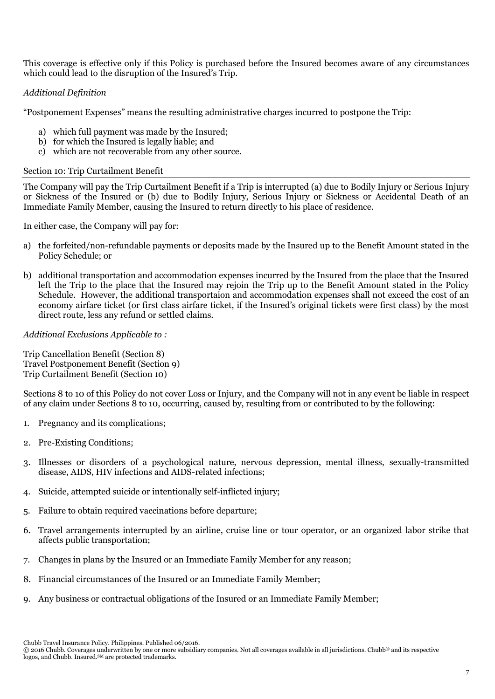This coverage is effective only if this Policy is purchased before the Insured becomes aware of any circumstances which could lead to the disruption of the Insured's Trip.

# *Additional Definition*

"Postponement Expenses" means the resulting administrative charges incurred to postpone the Trip:

- a) which full payment was made by the Insured;
- b) for which the Insured is legally liable; and
- c) which are not recoverable from any other source.

#### Section 10: Trip Curtailment Benefit

The Company will pay the Trip Curtailment Benefit if a Trip is interrupted (a) due to Bodily Injury or Serious Injury or Sickness of the Insured or (b) due to Bodily Injury, Serious Injury or Sickness or Accidental Death of an Immediate Family Member, causing the Insured to return directly to his place of residence.

In either case, the Company will pay for:

- a) the forfeited/non-refundable payments or deposits made by the Insured up to the Benefit Amount stated in the Policy Schedule; or
- b) additional transportation and accommodation expenses incurred by the Insured from the place that the Insured left the Trip to the place that the Insured may rejoin the Trip up to the Benefit Amount stated in the Policy Schedule. However, the additional transportation and accommodation expenses shall not exceed the cost of an economy airfare ticket (or first class airfare ticket, if the Insured's original tickets were first class) by the most direct route, less any refund or settled claims.

# *Additional Exclusions Applicable to :*

Trip Cancellation Benefit (Section 8) Travel Postponement Benefit (Section 9) Trip Curtailment Benefit (Section 10)

Sections 8 to 10 of this Policy do not cover Loss or Injury, and the Company will not in any event be liable in respect of any claim under Sections 8 to 10, occurring, caused by, resulting from or contributed to by the following:

- 1. Pregnancy and its complications;
- 2. Pre-Existing Conditions;
- 3. Illnesses or disorders of a psychological nature, nervous depression, mental illness, sexually-transmitted disease, AIDS, HIV infections and AIDS-related infections;
- 4. Suicide, attempted suicide or intentionally self-inflicted injury;
- 5. Failure to obtain required vaccinations before departure;
- 6. Travel arrangements interrupted by an airline, cruise line or tour operator, or an organized labor strike that affects public transportation;
- 7. Changes in plans by the Insured or an Immediate Family Member for any reason;
- 8. Financial circumstances of the Insured or an Immediate Family Member;
- 9. Any business or contractual obligations of the Insured or an Immediate Family Member;

Chubb Travel Insurance Policy. Philippines. Published 06/2016.

<sup>© 2016</sup> Chubb. Coverages underwritten by one or more subsidiary companies. Not all coverages available in all jurisdictions. Chubb® and its respective logos, and Chubb. Insured.<sup>SM</sup> are protected trademarks.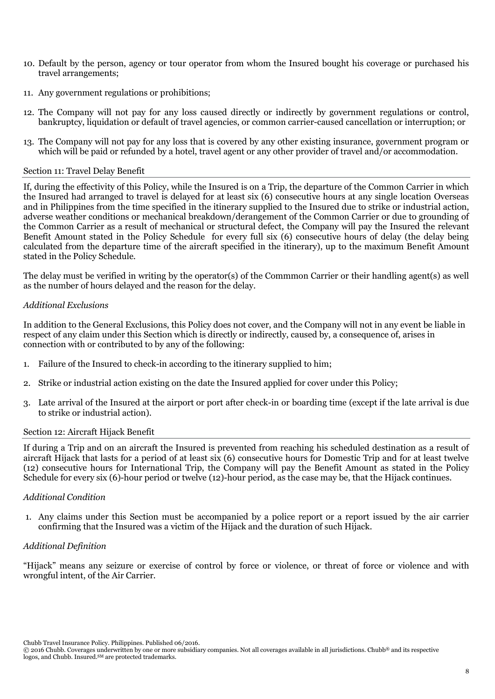- 10. Default by the person, agency or tour operator from whom the Insured bought his coverage or purchased his travel arrangements;
- 11. Any government regulations or prohibitions;
- 12. The Company will not pay for any loss caused directly or indirectly by government regulations or control, bankruptcy, liquidation or default of travel agencies, or common carrier-caused cancellation or interruption; or
- 13. The Company will not pay for any loss that is covered by any other existing insurance, government program or which will be paid or refunded by a hotel, travel agent or any other provider of travel and/or accommodation.

#### Section 11: Travel Delay Benefit

If, during the effectivity of this Policy, while the Insured is on a Trip, the departure of the Common Carrier in which the Insured had arranged to travel is delayed for at least six (6) consecutive hours at any single location Overseas and in Philippines from the time specified in the itinerary supplied to the Insured due to strike or industrial action, adverse weather conditions or mechanical breakdown/derangement of the Common Carrier or due to grounding of the Common Carrier as a result of mechanical or structural defect, the Company will pay the Insured the relevant Benefit Amount stated in the Policy Schedule for every full six (6) consecutive hours of delay (the delay being calculated from the departure time of the aircraft specified in the itinerary), up to the maximum Benefit Amount stated in the Policy Schedule.

The delay must be verified in writing by the operator(s) of the Commmon Carrier or their handling agent(s) as well as the number of hours delayed and the reason for the delay.

#### *Additional Exclusions*

In addition to the General Exclusions, this Policy does not cover, and the Company will not in any event be liable in respect of any claim under this Section which is directly or indirectly, caused by, a consequence of, arises in connection with or contributed to by any of the following:

- 1. Failure of the Insured to check-in according to the itinerary supplied to him;
- 2. Strike or industrial action existing on the date the Insured applied for cover under this Policy;
- 3. Late arrival of the Insured at the airport or port after check-in or boarding time (except if the late arrival is due to strike or industrial action).

#### Section 12: Aircraft Hijack Benefit

If during a Trip and on an aircraft the Insured is prevented from reaching his scheduled destination as a result of aircraft Hijack that lasts for a period of at least six (6) consecutive hours for Domestic Trip and for at least twelve (12) consecutive hours for International Trip, the Company will pay the Benefit Amount as stated in the Policy Schedule for every six (6)-hour period or twelve (12)-hour period, as the case may be, that the Hijack continues.

#### *Additional Condition*

1. Any claims under this Section must be accompanied by a police report or a report issued by the air carrier confirming that the Insured was a victim of the Hijack and the duration of such Hijack.

#### *Additional Definition*

"Hijack" means any seizure or exercise of control by force or violence, or threat of force or violence and with wrongful intent, of the Air Carrier.

<sup>© 2016</sup> Chubb. Coverages underwritten by one or more subsidiary companies. Not all coverages available in all jurisdictions. Chubb® and its respective logos, and Chubb. Insured.<sup>SM</sup> are protected trademarks.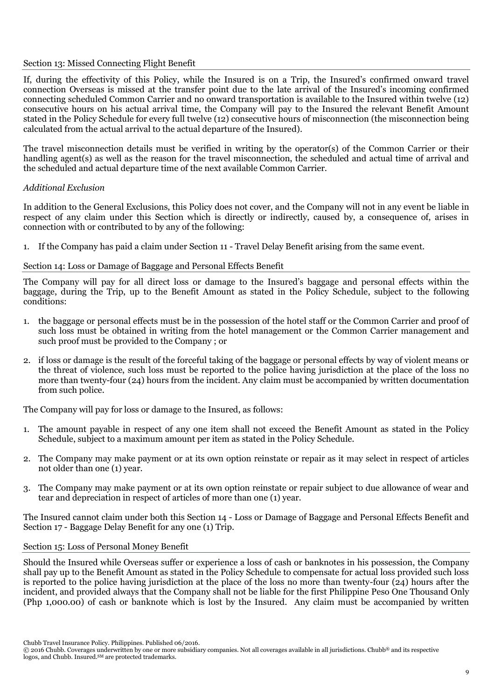#### Section 13: Missed Connecting Flight Benefit

If, during the effectivity of this Policy, while the Insured is on a Trip, the Insured's confirmed onward travel connection Overseas is missed at the transfer point due to the late arrival of the Insured's incoming confirmed connecting scheduled Common Carrier and no onward transportation is available to the Insured within twelve (12) consecutive hours on his actual arrival time, the Company will pay to the Insured the relevant Benefit Amount stated in the Policy Schedule for every full twelve (12) consecutive hours of misconnection (the misconnection being calculated from the actual arrival to the actual departure of the Insured).

The travel misconnection details must be verified in writing by the operator(s) of the Common Carrier or their handling agent(s) as well as the reason for the travel misconnection, the scheduled and actual time of arrival and the scheduled and actual departure time of the next available Common Carrier.

# *Additional Exclusion*

In addition to the General Exclusions, this Policy does not cover, and the Company will not in any event be liable in respect of any claim under this Section which is directly or indirectly, caused by, a consequence of, arises in connection with or contributed to by any of the following:

1. If the Company has paid a claim under Section 11 - Travel Delay Benefit arising from the same event.

# Section 14: Loss or Damage of Baggage and Personal Effects Benefit

The Company will pay for all direct loss or damage to the Insured's baggage and personal effects within the baggage, during the Trip, up to the Benefit Amount as stated in the Policy Schedule, subject to the following conditions:

- 1. the baggage or personal effects must be in the possession of the hotel staff or the Common Carrier and proof of such loss must be obtained in writing from the hotel management or the Common Carrier management and such proof must be provided to the Company ; or
- 2. if loss or damage is the result of the forceful taking of the baggage or personal effects by way of violent means or the threat of violence, such loss must be reported to the police having jurisdiction at the place of the loss no more than twenty-four (24) hours from the incident. Any claim must be accompanied by written documentation from such police.

The Company will pay for loss or damage to the Insured, as follows:

- 1. The amount payable in respect of any one item shall not exceed the Benefit Amount as stated in the Policy Schedule, subject to a maximum amount per item as stated in the Policy Schedule.
- 2. The Company may make payment or at its own option reinstate or repair as it may select in respect of articles not older than one (1) year.
- 3. The Company may make payment or at its own option reinstate or repair subject to due allowance of wear and tear and depreciation in respect of articles of more than one (1) year.

The Insured cannot claim under both this Section 14 - Loss or Damage of Baggage and Personal Effects Benefit and Section 17 - Baggage Delay Benefit for any one (1) Trip.

#### Section 15: Loss of Personal Money Benefit

Should the Insured while Overseas suffer or experience a loss of cash or banknotes in his possession, the Company shall pay up to the Benefit Amount as stated in the Policy Schedule to compensate for actual loss provided such loss is reported to the police having jurisdiction at the place of the loss no more than twenty-four (24) hours after the incident, and provided always that the Company shall not be liable for the first Philippine Peso One Thousand Only (Php 1,000.00) of cash or banknote which is lost by the Insured. Any claim must be accompanied by written

<sup>© 2016</sup> Chubb. Coverages underwritten by one or more subsidiary companies. Not all coverages available in all jurisdictions. Chubb® and its respective logos, and Chubb. Insured.<sup>SM</sup> are protected trademarks.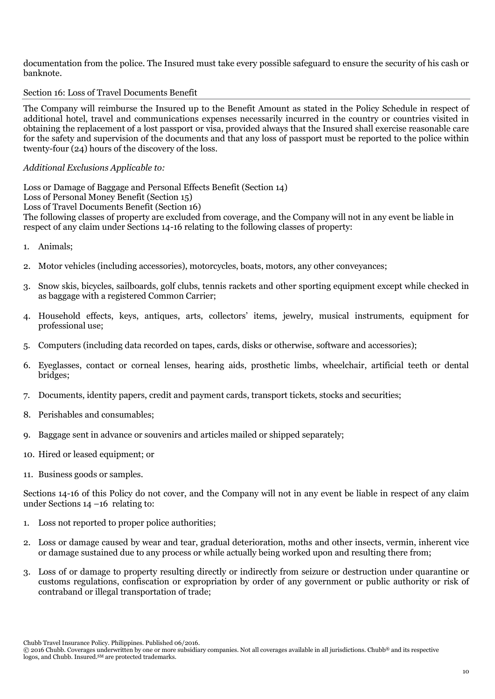documentation from the police. The Insured must take every possible safeguard to ensure the security of his cash or banknote.

#### Section 16: Loss of Travel Documents Benefit

The Company will reimburse the Insured up to the Benefit Amount as stated in the Policy Schedule in respect of additional hotel, travel and communications expenses necessarily incurred in the country or countries visited in obtaining the replacement of a lost passport or visa, provided always that the Insured shall exercise reasonable care for the safety and supervision of the documents and that any loss of passport must be reported to the police within twenty-four (24) hours of the discovery of the loss.

### *Additional Exclusions Applicable to:*

Loss or Damage of Baggage and Personal Effects Benefit (Section 14) Loss of Personal Money Benefit (Section 15) Loss of Travel Documents Benefit (Section 16) The following classes of property are excluded from coverage, and the Company will not in any event be liable in respect of any claim under Sections 14-16 relating to the following classes of property:

- 1. Animals;
- 2. Motor vehicles (including accessories), motorcycles, boats, motors, any other conveyances;
- 3. Snow skis, bicycles, sailboards, golf clubs, tennis rackets and other sporting equipment except while checked in as baggage with a registered Common Carrier;
- 4. Household effects, keys, antiques, arts, collectors' items, jewelry, musical instruments, equipment for professional use;
- 5. Computers (including data recorded on tapes, cards, disks or otherwise, software and accessories);
- 6. Eyeglasses, contact or corneal lenses, hearing aids, prosthetic limbs, wheelchair, artificial teeth or dental bridges;
- 7. Documents, identity papers, credit and payment cards, transport tickets, stocks and securities;
- 8. Perishables and consumables;
- 9. Baggage sent in advance or souvenirs and articles mailed or shipped separately;
- 10. Hired or leased equipment; or
- 11. Business goods or samples.

Sections 14-16 of this Policy do not cover, and the Company will not in any event be liable in respect of any claim under Sections 14 –16 relating to:

- 1. Loss not reported to proper police authorities;
- 2. Loss or damage caused by wear and tear, gradual deterioration, moths and other insects, vermin, inherent vice or damage sustained due to any process or while actually being worked upon and resulting there from;
- 3. Loss of or damage to property resulting directly or indirectly from seizure or destruction under quarantine or customs regulations, confiscation or expropriation by order of any government or public authority or risk of contraband or illegal transportation of trade;

<sup>© 2016</sup> Chubb. Coverages underwritten by one or more subsidiary companies. Not all coverages available in all jurisdictions. Chubb® and its respective logos, and Chubb. Insured.<sup>SM</sup> are protected trademarks.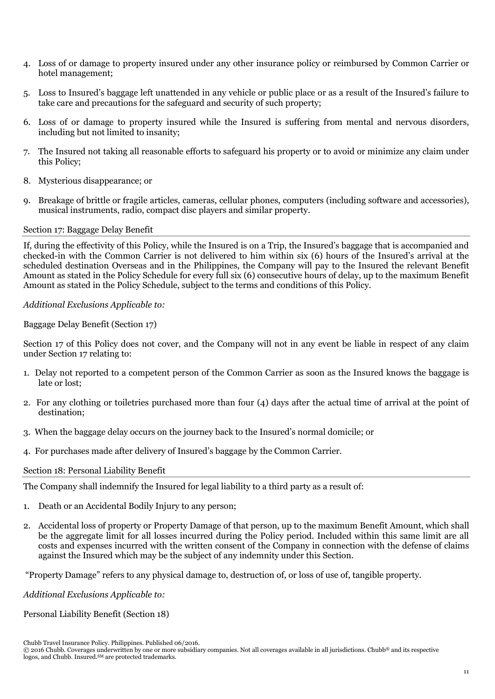- 4. Loss of or damage to property insured under any other insurance policy or reimbursed by Common Carrier or hotel management;
- 5. Loss to Insured's baggage left unattended in any vehicle or public place or as a result of the Insured's failure to take care and precautions for the safeguard and security of such property;
- 6. Loss of or damage to property insured while the Insured is suffering from mental and nervous disorders, including but not limited to insanity;
- 7. The Insured not taking all reasonable efforts to safeguard his property or to avoid or minimize any claim under this Policy;
- 8. Mysterious disappearance; or
- 9. Breakage of brittle or fragile articles, cameras, cellular phones, computers (including software and accessories), musical instruments, radio, compact disc players and similar property.

#### Section 17: Baggage Delay Benefit

If, during the effectivity of this Policy, while the Insured is on a Trip, the Insured's baggage that is accompanied and checked-in with the Common Carrier is not delivered to him within six (6) hours of the Insured's arrival at the scheduled destination Overseas and in the Philippines, the Company will pay to the Insured the relevant Benefit Amount as stated in the Policy Schedule for every full six (6) consecutive hours of delay, up to the maximum Benefit Amount as stated in the Policy Schedule, subject to the terms and conditions of this Policy.

# *Additional Exclusions Applicable to:*

Baggage Delay Benefit (Section 17)

Section 17 of this Policy does not cover, and the Company will not in any event be liable in respect of any claim under Section 17 relating to:

- 1. Delay not reported to a competent person of the Common Carrier as soon as the Insured knows the baggage is late or lost;
- 2. For any clothing or toiletries purchased more than four (4) days after the actual time of arrival at the point of destination;
- 3. When the baggage delay occurs on the journey back to the Insured's normal domicile; or
- 4. For purchases made after delivery of Insured's baggage by the Common Carrier.

#### Section 18: Personal Liability Benefit

The Company shall indemnify the Insured for legal liability to a third party as a result of:

- 1. Death or an Accidental Bodily Injury to any person;
- 2. Accidental loss of property or Property Damage of that person, up to the maximum Benefit Amount, which shall be the aggregate limit for all losses incurred during the Policy period. Included within this same limit are all costs and expenses incurred with the written consent of the Company in connection with the defense of claims against the Insured which may be the subject of any indemnity under this Section.

"Property Damage" refers to any physical damage to, destruction of, or loss of use of, tangible property.

*Additional Exclusions Applicable to:* 

Personal Liability Benefit (Section 18)

Chubb Travel Insurance Policy. Philippines. Published 06/2016.

<sup>© 2016</sup> Chubb. Coverages underwritten by one or more subsidiary companies. Not all coverages available in all jurisdictions. Chubb® and its respective logos, and Chubb. Insured.<sup>SM</sup> are protected trademarks.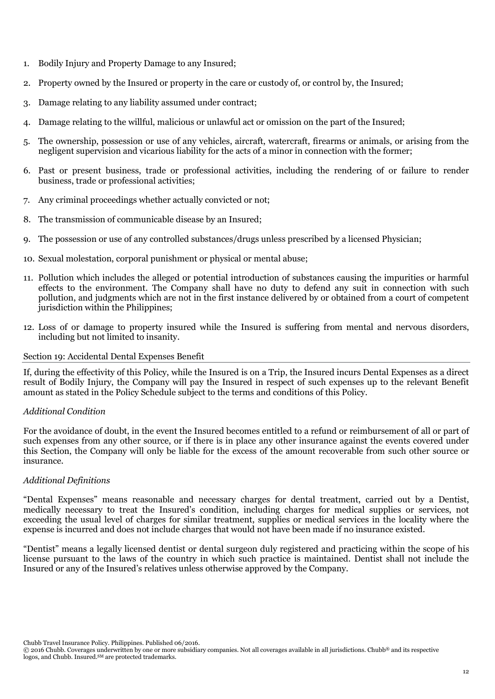- 1. Bodily Injury and Property Damage to any Insured;
- 2. Property owned by the Insured or property in the care or custody of, or control by, the Insured;
- 3. Damage relating to any liability assumed under contract;
- 4. Damage relating to the willful, malicious or unlawful act or omission on the part of the Insured;
- 5. The ownership, possession or use of any vehicles, aircraft, watercraft, firearms or animals, or arising from the negligent supervision and vicarious liability for the acts of a minor in connection with the former;
- 6. Past or present business, trade or professional activities, including the rendering of or failure to render business, trade or professional activities;
- 7. Any criminal proceedings whether actually convicted or not;
- 8. The transmission of communicable disease by an Insured;
- 9. The possession or use of any controlled substances/drugs unless prescribed by a licensed Physician;
- 10. Sexual molestation, corporal punishment or physical or mental abuse;
- 11. Pollution which includes the alleged or potential introduction of substances causing the impurities or harmful effects to the environment. The Company shall have no duty to defend any suit in connection with such pollution, and judgments which are not in the first instance delivered by or obtained from a court of competent jurisdiction within the Philippines;
- 12. Loss of or damage to property insured while the Insured is suffering from mental and nervous disorders, including but not limited to insanity.

#### Section 19: Accidental Dental Expenses Benefit

If, during the effectivity of this Policy, while the Insured is on a Trip, the Insured incurs Dental Expenses as a direct result of Bodily Injury, the Company will pay the Insured in respect of such expenses up to the relevant Benefit amount as stated in the Policy Schedule subject to the terms and conditions of this Policy.

#### *Additional Condition*

For the avoidance of doubt, in the event the Insured becomes entitled to a refund or reimbursement of all or part of such expenses from any other source, or if there is in place any other insurance against the events covered under this Section, the Company will only be liable for the excess of the amount recoverable from such other source or insurance.

#### *Additional Definitions*

"Dental Expenses" means reasonable and necessary charges for dental treatment, carried out by a Dentist, medically necessary to treat the Insured's condition, including charges for medical supplies or services, not exceeding the usual level of charges for similar treatment, supplies or medical services in the locality where the expense is incurred and does not include charges that would not have been made if no insurance existed.

"Dentist" means a legally licensed dentist or dental surgeon duly registered and practicing within the scope of his license pursuant to the laws of the country in which such practice is maintained. Dentist shall not include the Insured or any of the Insured's relatives unless otherwise approved by the Company.

<sup>© 2016</sup> Chubb. Coverages underwritten by one or more subsidiary companies. Not all coverages available in all jurisdictions. Chubb® and its respective logos, and Chubb. Insured.<sup>SM</sup> are protected trademarks.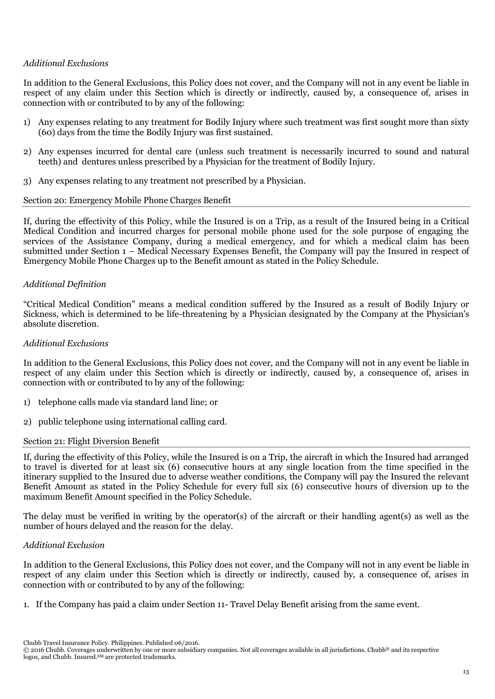# *Additional Exclusions*

In addition to the General Exclusions, this Policy does not cover, and the Company will not in any event be liable in respect of any claim under this Section which is directly or indirectly, caused by, a consequence of, arises in connection with or contributed to by any of the following:

- 1) Any expenses relating to any treatment for Bodily Injury where such treatment was first sought more than sixty (60) days from the time the Bodily Injury was first sustained.
- 2) Any expenses incurred for dental care (unless such treatment is necessarily incurred to sound and natural teeth) and dentures unless prescribed by a Physician for the treatment of Bodily Injury.
- 3) Any expenses relating to any treatment not prescribed by a Physician.

#### Section 20: Emergency Mobile Phone Charges Benefit

If, during the effectivity of this Policy, while the Insured is on a Trip, as a result of the Insured being in a Critical Medical Condition and incurred charges for personal mobile phone used for the sole purpose of engaging the services of the Assistance Company, during a medical emergency, and for which a medical claim has been submitted under Section 1 – Medical Necessary Expenses Benefit, the Company will pay the Insured in respect of Emergency Mobile Phone Charges up to the Benefit amount as stated in the Policy Schedule.

# *Additional Definition*

"Critical Medical Condition" means a medical condition suffered by the Insured as a result of Bodily Injury or Sickness, which is determined to be life-threatening by a Physician designated by the Company at the Physician's absolute discretion.

#### *Additional Exclusions*

In addition to the General Exclusions, this Policy does not cover, and the Company will not in any event be liable in respect of any claim under this Section which is directly or indirectly, caused by, a consequence of, arises in connection with or contributed to by any of the following:

- 1) telephone calls made via standard land line; or
- 2) public telephone using international calling card.

#### Section 21: Flight Diversion Benefit

If, during the effectivity of this Policy, while the Insured is on a Trip, the aircraft in which the Insured had arranged to travel is diverted for at least six (6) consecutive hours at any single location from the time specified in the itinerary supplied to the Insured due to adverse weather conditions, the Company will pay the Insured the relevant Benefit Amount as stated in the Policy Schedule for every full six (6) consecutive hours of diversion up to the maximum Benefit Amount specified in the Policy Schedule.

The delay must be verified in writing by the operator(s) of the aircraft or their handling agent(s) as well as the number of hours delayed and the reason for the delay.

#### *Additional Exclusion*

In addition to the General Exclusions, this Policy does not cover, and the Company will not in any event be liable in respect of any claim under this Section which is directly or indirectly, caused by, a consequence of, arises in connection with or contributed to by any of the following:

1. If the Company has paid a claim under Section 11- Travel Delay Benefit arising from the same event.

Chubb Travel Insurance Policy. Philippines. Published 06/2016.

<sup>© 2016</sup> Chubb. Coverages underwritten by one or more subsidiary companies. Not all coverages available in all jurisdictions. Chubb® and its respective logos, and Chubb. Insured.<sup>SM</sup> are protected trademarks.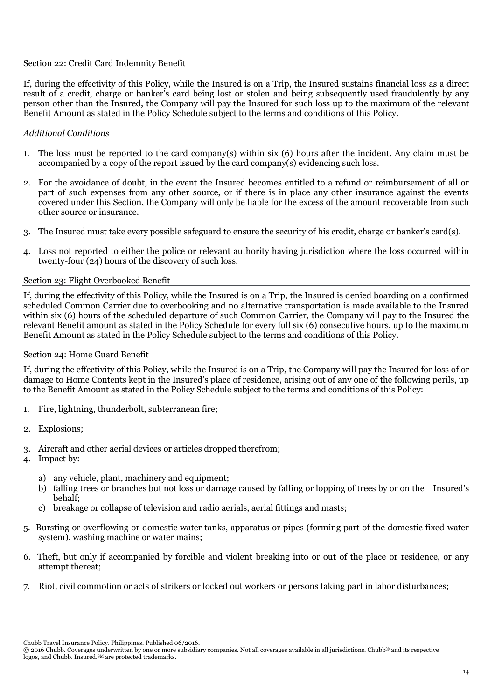#### Section 22: Credit Card Indemnity Benefit

If, during the effectivity of this Policy, while the Insured is on a Trip, the Insured sustains financial loss as a direct result of a credit, charge or banker's card being lost or stolen and being subsequently used fraudulently by any person other than the Insured, the Company will pay the Insured for such loss up to the maximum of the relevant Benefit Amount as stated in the Policy Schedule subject to the terms and conditions of this Policy.

# *Additional Conditions*

- 1. The loss must be reported to the card company(s) within six (6) hours after the incident. Any claim must be accompanied by a copy of the report issued by the card company(s) evidencing such loss.
- 2. For the avoidance of doubt, in the event the Insured becomes entitled to a refund or reimbursement of all or part of such expenses from any other source, or if there is in place any other insurance against the events covered under this Section, the Company will only be liable for the excess of the amount recoverable from such other source or insurance.
- 3. The Insured must take every possible safeguard to ensure the security of his credit, charge or banker's card(s).
- 4. Loss not reported to either the police or relevant authority having jurisdiction where the loss occurred within twenty-four (24) hours of the discovery of such loss.

# Section 23: Flight Overbooked Benefit

If, during the effectivity of this Policy, while the Insured is on a Trip, the Insured is denied boarding on a confirmed scheduled Common Carrier due to overbooking and no alternative transportation is made available to the Insured within six (6) hours of the scheduled departure of such Common Carrier, the Company will pay to the Insured the relevant Benefit amount as stated in the Policy Schedule for every full six (6) consecutive hours, up to the maximum Benefit Amount as stated in the Policy Schedule subject to the terms and conditions of this Policy.

# Section 24: Home Guard Benefit

If, during the effectivity of this Policy, while the Insured is on a Trip, the Company will pay the Insured for loss of or damage to Home Contents kept in the Insured's place of residence, arising out of any one of the following perils, up to the Benefit Amount as stated in the Policy Schedule subject to the terms and conditions of this Policy:

- 1. Fire, lightning, thunderbolt, subterranean fire;
- 2. Explosions;
- 3. Aircraft and other aerial devices or articles dropped therefrom;
- 4. Impact by:
	- a) any vehicle, plant, machinery and equipment:
	- b) falling trees or branches but not loss or damage caused by falling or lopping of trees by or on the Insured's behalf;
	- c) breakage or collapse of television and radio aerials, aerial fittings and masts;
- 5. Bursting or overflowing or domestic water tanks, apparatus or pipes (forming part of the domestic fixed water system), washing machine or water mains;
- 6. Theft, but only if accompanied by forcible and violent breaking into or out of the place or residence, or any attempt thereat;
- 7. Riot, civil commotion or acts of strikers or locked out workers or persons taking part in labor disturbances;

<sup>© 2016</sup> Chubb. Coverages underwritten by one or more subsidiary companies. Not all coverages available in all jurisdictions. Chubb® and its respective logos, and Chubb. Insured.<sup>SM</sup> are protected trademarks.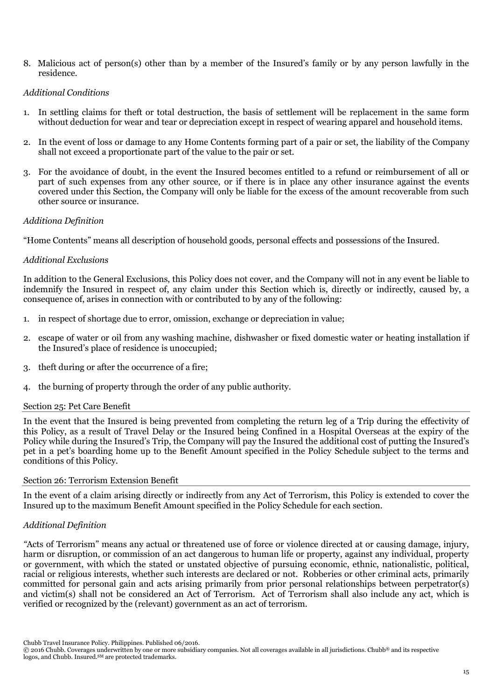8. Malicious act of person(s) other than by a member of the Insured's family or by any person lawfully in the residence.

# *Additional Conditions*

- 1. In settling claims for theft or total destruction, the basis of settlement will be replacement in the same form without deduction for wear and tear or depreciation except in respect of wearing apparel and household items.
- 2. In the event of loss or damage to any Home Contents forming part of a pair or set, the liability of the Company shall not exceed a proportionate part of the value to the pair or set.
- 3. For the avoidance of doubt, in the event the Insured becomes entitled to a refund or reimbursement of all or part of such expenses from any other source, or if there is in place any other insurance against the events covered under this Section, the Company will only be liable for the excess of the amount recoverable from such other source or insurance.

# *Additiona Definition*

"Home Contents" means all description of household goods, personal effects and possessions of the Insured.

# *Additional Exclusions*

In addition to the General Exclusions, this Policy does not cover, and the Company will not in any event be liable to indemnify the Insured in respect of, any claim under this Section which is, directly or indirectly, caused by, a consequence of, arises in connection with or contributed to by any of the following:

- 1. in respect of shortage due to error, omission, exchange or depreciation in value;
- 2. escape of water or oil from any washing machine, dishwasher or fixed domestic water or heating installation if the Insured's place of residence is unoccupied;
- 3. theft during or after the occurrence of a fire;
- 4. the burning of property through the order of any public authority.

#### Section 25: Pet Care Benefit

In the event that the Insured is being prevented from completing the return leg of a Trip during the effectivity of this Policy, as a result of Travel Delay or the Insured being Confined in a Hospital Overseas at the expiry of the Policy while during the Insured's Trip, the Company will pay the Insured the additional cost of putting the Insured's pet in a pet's boarding home up to the Benefit Amount specified in the Policy Schedule subject to the terms and conditions of this Policy.

# Section 26: Terrorism Extension Benefit

In the event of a claim arising directly or indirectly from any Act of Terrorism, this Policy is extended to cover the Insured up to the maximum Benefit Amount specified in the Policy Schedule for each section.

# *Additional Definition*

*"*Acts of Terrorism" means any actual or threatened use of force or violence directed at or causing damage, injury, harm or disruption, or commission of an act dangerous to human life or property, against any individual, property or government, with which the stated or unstated objective of pursuing economic, ethnic, nationalistic, political, racial or religious interests, whether such interests are declared or not. Robberies or other criminal acts, primarily committed for personal gain and acts arising primarily from prior personal relationships between perpetrator(s) and victim(s) shall not be considered an Act of Terrorism. Act of Terrorism shall also include any act, which is verified or recognized by the (relevant) government as an act of terrorism.

Chubb Travel Insurance Policy. Philippines. Published 06/2016.

<sup>© 2016</sup> Chubb. Coverages underwritten by one or more subsidiary companies. Not all coverages available in all jurisdictions. Chubb® and its respective logos, and Chubb. Insured.<sup>SM</sup> are protected trademarks.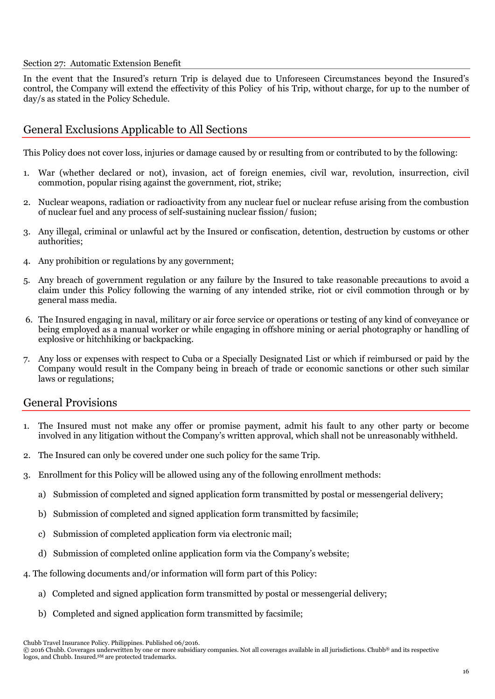#### Section 27: Automatic Extension Benefit

In the event that the Insured's return Trip is delayed due to Unforeseen Circumstances beyond the Insured's control, the Company will extend the effectivity of this Policy of his Trip, without charge, for up to the number of day/s as stated in the Policy Schedule.

# General Exclusions Applicable to All Sections

This Policy does not cover loss, injuries or damage caused by or resulting from or contributed to by the following:

- 1. War (whether declared or not), invasion, act of foreign enemies, civil war, revolution, insurrection, civil commotion, popular rising against the government, riot, strike;
- 2. Nuclear weapons, radiation or radioactivity from any nuclear fuel or nuclear refuse arising from the combustion of nuclear fuel and any process of self-sustaining nuclear fission/ fusion;
- 3. Any illegal, criminal or unlawful act by the Insured or confiscation, detention, destruction by customs or other authorities;
- 4. Any prohibition or regulations by any government;
- 5. Any breach of government regulation or any failure by the Insured to take reasonable precautions to avoid a claim under this Policy following the warning of any intended strike, riot or civil commotion through or by general mass media.
- 6. The Insured engaging in naval, military or air force service or operations or testing of any kind of conveyance or being employed as a manual worker or while engaging in offshore mining or aerial photography or handling of explosive or hitchhiking or backpacking.
- 7. Any loss or expenses with respect to Cuba or a Specially Designated List or which if reimbursed or paid by the Company would result in the Company being in breach of trade or economic sanctions or other such similar laws or regulations;

# General Provisions

- 1. The Insured must not make any offer or promise payment, admit his fault to any other party or become involved in any litigation without the Company's written approval, which shall not be unreasonably withheld.
- 2. The Insured can only be covered under one such policy for the same Trip.
- 3. Enrollment for this Policy will be allowed using any of the following enrollment methods:
	- a) Submission of completed and signed application form transmitted by postal or messengerial delivery;
	- b) Submission of completed and signed application form transmitted by facsimile;
	- c) Submission of completed application form via electronic mail;
	- d) Submission of completed online application form via the Company's website;
- 4. The following documents and/or information will form part of this Policy:
	- a) Completed and signed application form transmitted by postal or messengerial delivery;
	- b) Completed and signed application form transmitted by facsimile;

Chubb Travel Insurance Policy. Philippines. Published 06/2016.

© 2016 Chubb. Coverages underwritten by one or more subsidiary companies. Not all coverages available in all jurisdictions. Chubb® and its respective logos, and Chubb. Insured.<sup>SM</sup> are protected trademarks.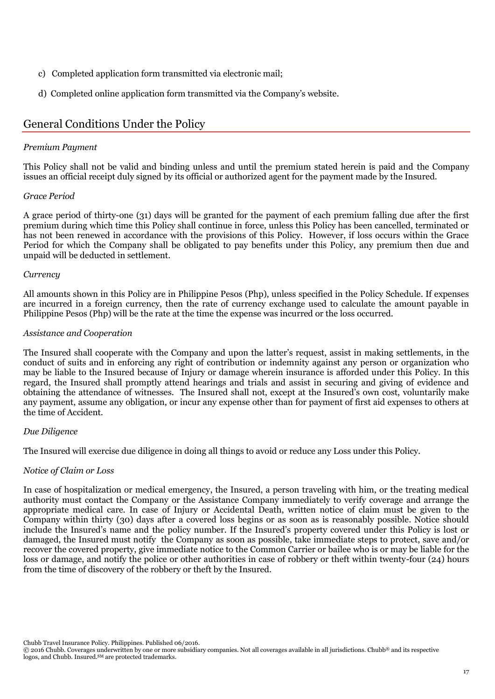- c) Completed application form transmitted via electronic mail;
- d) Completed online application form transmitted via the Company's website.

# General Conditions Under the Policy

# *Premium Payment*

This Policy shall not be valid and binding unless and until the premium stated herein is paid and the Company issues an official receipt duly signed by its official or authorized agent for the payment made by the Insured.

# *Grace Period*

A grace period of thirty-one (31) days will be granted for the payment of each premium falling due after the first premium during which time this Policy shall continue in force, unless this Policy has been cancelled, terminated or has not been renewed in accordance with the provisions of this Policy. However, if loss occurs within the Grace Period for which the Company shall be obligated to pay benefits under this Policy, any premium then due and unpaid will be deducted in settlement.

# *Currency*

All amounts shown in this Policy are in Philippine Pesos (Php), unless specified in the Policy Schedule. If expenses are incurred in a foreign currency, then the rate of currency exchange used to calculate the amount payable in Philippine Pesos (Php) will be the rate at the time the expense was incurred or the loss occurred.

# *Assistance and Cooperation*

The Insured shall cooperate with the Company and upon the latter's request, assist in making settlements, in the conduct of suits and in enforcing any right of contribution or indemnity against any person or organization who may be liable to the Insured because of Injury or damage wherein insurance is afforded under this Policy. In this regard, the Insured shall promptly attend hearings and trials and assist in securing and giving of evidence and obtaining the attendance of witnesses. The Insured shall not, except at the Insured's own cost, voluntarily make any payment, assume any obligation, or incur any expense other than for payment of first aid expenses to others at the time of Accident.

#### *Due Diligence*

The Insured will exercise due diligence in doing all things to avoid or reduce any Loss under this Policy.

# *Notice of Claim or Loss*

In case of hospitalization or medical emergency, the Insured, a person traveling with him, or the treating medical authority must contact the Company or the Assistance Company immediately to verify coverage and arrange the appropriate medical care. In case of Injury or Accidental Death, written notice of claim must be given to the Company within thirty (30) days after a covered loss begins or as soon as is reasonably possible. Notice should include the Insured's name and the policy number. If the Insured's property covered under this Policy is lost or damaged, the Insured must notify the Company as soon as possible, take immediate steps to protect, save and/or recover the covered property, give immediate notice to the Common Carrier or bailee who is or may be liable for the loss or damage, and notify the police or other authorities in case of robbery or theft within twenty-four (24) hours from the time of discovery of the robbery or theft by the Insured.

Chubb Travel Insurance Policy. Philippines. Published 06/2016.

© 2016 Chubb. Coverages underwritten by one or more subsidiary companies. Not all coverages available in all jurisdictions. Chubb® and its respective logos, and Chubb. Insured.<sup>SM</sup> are protected trademarks.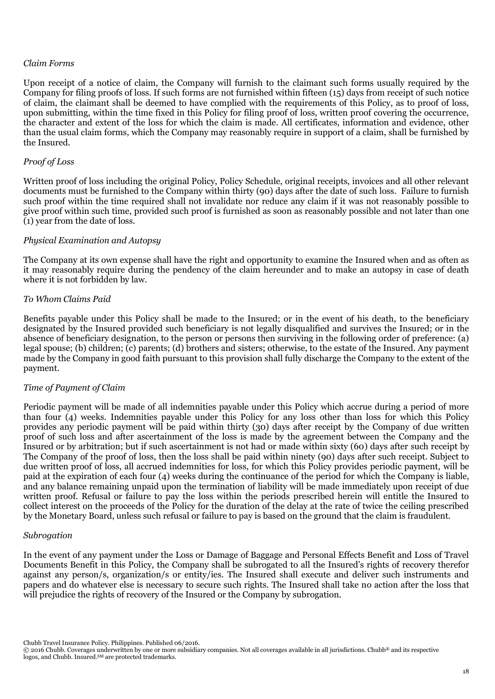#### *Claim Forms*

Upon receipt of a notice of claim, the Company will furnish to the claimant such forms usually required by the Company for filing proofs of loss. If such forms are not furnished within fifteen (15) days from receipt of such notice of claim, the claimant shall be deemed to have complied with the requirements of this Policy, as to proof of loss, upon submitting, within the time fixed in this Policy for filing proof of loss, written proof covering the occurrence, the character and extent of the loss for which the claim is made. All certificates, information and evidence, other than the usual claim forms, which the Company may reasonably require in support of a claim, shall be furnished by the Insured.

#### *Proof of Loss*

Written proof of loss including the original Policy, Policy Schedule, original receipts, invoices and all other relevant documents must be furnished to the Company within thirty (90) days after the date of such loss. Failure to furnish such proof within the time required shall not invalidate nor reduce any claim if it was not reasonably possible to give proof within such time, provided such proof is furnished as soon as reasonably possible and not later than one (1) year from the date of loss.

#### *Physical Examination and Autopsy*

The Company at its own expense shall have the right and opportunity to examine the Insured when and as often as it may reasonably require during the pendency of the claim hereunder and to make an autopsy in case of death where it is not forbidden by law.

#### *To Whom Claims Paid*

Benefits payable under this Policy shall be made to the Insured; or in the event of his death, to the beneficiary designated by the Insured provided such beneficiary is not legally disqualified and survives the Insured; or in the absence of beneficiary designation, to the person or persons then surviving in the following order of preference: (a) legal spouse; (b) children; (c) parents; (d) brothers and sisters; otherwise, to the estate of the Insured. Any payment made by the Company in good faith pursuant to this provision shall fully discharge the Company to the extent of the payment.

#### *Time of Payment of Claim*

Periodic payment will be made of all indemnities payable under this Policy which accrue during a period of more than four (4) weeks. Indemnities payable under this Policy for any loss other than loss for which this Policy provides any periodic payment will be paid within thirty (30) days after receipt by the Company of due written proof of such loss and after ascertainment of the loss is made by the agreement between the Company and the Insured or by arbitration; but if such ascertainment is not had or made within sixty (60) days after such receipt by The Company of the proof of loss, then the loss shall be paid within ninety (90) days after such receipt. Subject to due written proof of loss, all accrued indemnities for loss, for which this Policy provides periodic payment, will be paid at the expiration of each four (4) weeks during the continuance of the period for which the Company is liable, and any balance remaining unpaid upon the termination of liability will be made immediately upon receipt of due written proof. Refusal or failure to pay the loss within the periods prescribed herein will entitle the Insured to collect interest on the proceeds of the Policy for the duration of the delay at the rate of twice the ceiling prescribed by the Monetary Board, unless such refusal or failure to pay is based on the ground that the claim is fraudulent.

#### *Subrogation*

In the event of any payment under the Loss or Damage of Baggage and Personal Effects Benefit and Loss of Travel Documents Benefit in this Policy, the Company shall be subrogated to all the Insured's rights of recovery therefor against any person/s, organization/s or entity/ies. The Insured shall execute and deliver such instruments and papers and do whatever else is necessary to secure such rights. The Insured shall take no action after the loss that will prejudice the rights of recovery of the Insured or the Company by subrogation.

<sup>© 2016</sup> Chubb. Coverages underwritten by one or more subsidiary companies. Not all coverages available in all jurisdictions. Chubb® and its respective logos, and Chubb. Insured.<sup>SM</sup> are protected trademarks.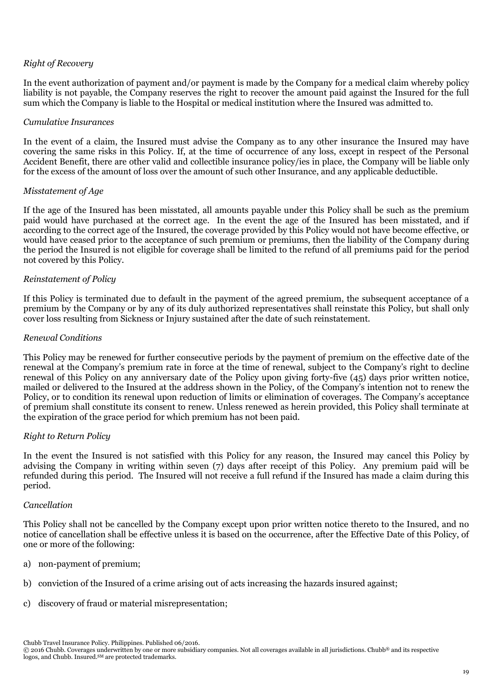# *Right of Recovery*

In the event authorization of payment and/or payment is made by the Company for a medical claim whereby policy liability is not payable, the Company reserves the right to recover the amount paid against the Insured for the full sum which the Company is liable to the Hospital or medical institution where the Insured was admitted to.

#### *Cumulative Insurances*

In the event of a claim, the Insured must advise the Company as to any other insurance the Insured may have covering the same risks in this Policy. If, at the time of occurrence of any loss, except in respect of the Personal Accident Benefit, there are other valid and collectible insurance policy/ies in place, the Company will be liable only for the excess of the amount of loss over the amount of such other Insurance, and any applicable deductible.

#### *Misstatement of Age*

If the age of the Insured has been misstated, all amounts payable under this Policy shall be such as the premium paid would have purchased at the correct age. In the event the age of the Insured has been misstated, and if according to the correct age of the Insured, the coverage provided by this Policy would not have become effective, or would have ceased prior to the acceptance of such premium or premiums, then the liability of the Company during the period the Insured is not eligible for coverage shall be limited to the refund of all premiums paid for the period not covered by this Policy.

#### *Reinstatement of Policy*

If this Policy is terminated due to default in the payment of the agreed premium, the subsequent acceptance of a premium by the Company or by any of its duly authorized representatives shall reinstate this Policy, but shall only cover loss resulting from Sickness or Injury sustained after the date of such reinstatement.

#### *Renewal Conditions*

This Policy may be renewed for further consecutive periods by the payment of premium on the effective date of the renewal at the Company's premium rate in force at the time of renewal, subject to the Company's right to decline renewal of this Policy on any anniversary date of the Policy upon giving forty-five (45) days prior written notice, mailed or delivered to the Insured at the address shown in the Policy, of the Company's intention not to renew the Policy, or to condition its renewal upon reduction of limits or elimination of coverages. The Company's acceptance of premium shall constitute its consent to renew. Unless renewed as herein provided, this Policy shall terminate at the expiration of the grace period for which premium has not been paid.

#### *Right to Return Policy*

In the event the Insured is not satisfied with this Policy for any reason, the Insured may cancel this Policy by advising the Company in writing within seven (7) days after receipt of this Policy. Any premium paid will be refunded during this period. The Insured will not receive a full refund if the Insured has made a claim during this period.

#### *Cancellation*

This Policy shall not be cancelled by the Company except upon prior written notice thereto to the Insured, and no notice of cancellation shall be effective unless it is based on the occurrence, after the Effective Date of this Policy, of one or more of the following:

- a) non-payment of premium;
- b) conviction of the Insured of a crime arising out of acts increasing the hazards insured against;
- c) discovery of fraud or material misrepresentation;

<sup>© 2016</sup> Chubb. Coverages underwritten by one or more subsidiary companies. Not all coverages available in all jurisdictions. Chubb® and its respective logos, and Chubb. Insured.<sup>SM</sup> are protected trademarks.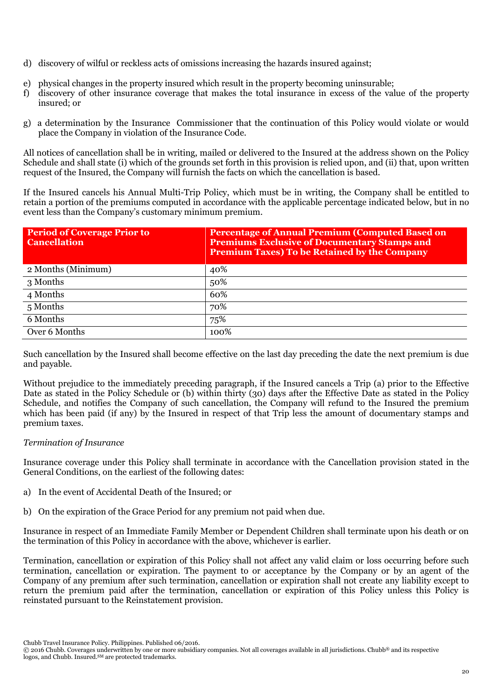- d) discovery of wilful or reckless acts of omissions increasing the hazards insured against;
- e) physical changes in the property insured which result in the property becoming uninsurable;
- f) discovery of other insurance coverage that makes the total insurance in excess of the value of the property insured; or
- g) a determination by the Insurance Commissioner that the continuation of this Policy would violate or would place the Company in violation of the Insurance Code.

All notices of cancellation shall be in writing, mailed or delivered to the Insured at the address shown on the Policy Schedule and shall state (i) which of the grounds set forth in this provision is relied upon, and (ii) that, upon written request of the Insured, the Company will furnish the facts on which the cancellation is based.

If the Insured cancels his Annual Multi-Trip Policy, which must be in writing, the Company shall be entitled to retain a portion of the premiums computed in accordance with the applicable percentage indicated below, but in no event less than the Company's customary minimum premium.

| <b>Period of Coverage Prior to</b><br><b>Cancellation</b> | <b>Percentage of Annual Premium (Computed Based on</b><br><b>Premiums Exclusive of Documentary Stamps and</b><br><b>Premium Taxes) To be Retained by the Company</b> |
|-----------------------------------------------------------|----------------------------------------------------------------------------------------------------------------------------------------------------------------------|
| 2 Months (Minimum)                                        | 40%                                                                                                                                                                  |
| 3 Months                                                  | 50%                                                                                                                                                                  |
| 4 Months                                                  | 60%                                                                                                                                                                  |
| 5 Months                                                  | 70%                                                                                                                                                                  |
| 6 Months                                                  | 75%                                                                                                                                                                  |
| Over 6 Months                                             | 100%                                                                                                                                                                 |

Such cancellation by the Insured shall become effective on the last day preceding the date the next premium is due and payable.

Without prejudice to the immediately preceding paragraph, if the Insured cancels a Trip (a) prior to the Effective Date as stated in the Policy Schedule or (b) within thirty (30) days after the Effective Date as stated in the Policy Schedule, and notifies the Company of such cancellation, the Company will refund to the Insured the premium which has been paid (if any) by the Insured in respect of that Trip less the amount of documentary stamps and premium taxes.

# *Termination of Insurance*

Insurance coverage under this Policy shall terminate in accordance with the Cancellation provision stated in the General Conditions, on the earliest of the following dates:

- a) In the event of Accidental Death of the Insured; or
- b) On the expiration of the Grace Period for any premium not paid when due.

Insurance in respect of an Immediate Family Member or Dependent Children shall terminate upon his death or on the termination of this Policy in accordance with the above, whichever is earlier.

Termination, cancellation or expiration of this Policy shall not affect any valid claim or loss occurring before such termination, cancellation or expiration. The payment to or acceptance by the Company or by an agent of the Company of any premium after such termination, cancellation or expiration shall not create any liability except to return the premium paid after the termination, cancellation or expiration of this Policy unless this Policy is reinstated pursuant to the Reinstatement provision.

<sup>© 2016</sup> Chubb. Coverages underwritten by one or more subsidiary companies. Not all coverages available in all jurisdictions. Chubb® and its respective logos, and Chubb. Insured.<sup>SM</sup> are protected trademarks.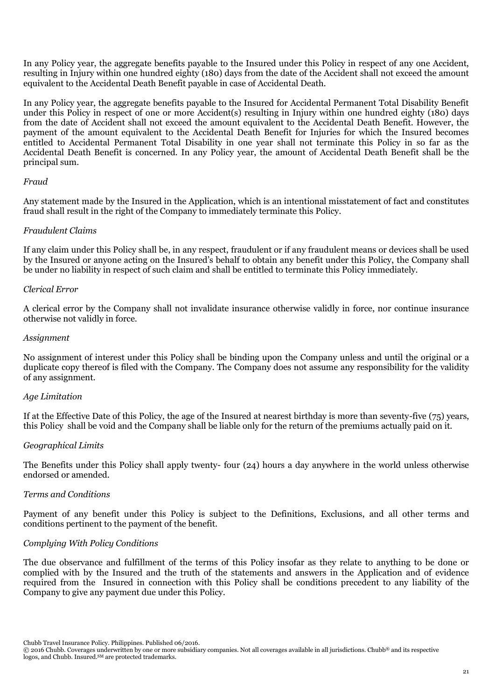In any Policy year, the aggregate benefits payable to the Insured under this Policy in respect of any one Accident, resulting in Injury within one hundred eighty (180) days from the date of the Accident shall not exceed the amount equivalent to the Accidental Death Benefit payable in case of Accidental Death.

In any Policy year, the aggregate benefits payable to the Insured for Accidental Permanent Total Disability Benefit under this Policy in respect of one or more Accident(s) resulting in Injury within one hundred eighty (180) days from the date of Accident shall not exceed the amount equivalent to the Accidental Death Benefit. However, the payment of the amount equivalent to the Accidental Death Benefit for Injuries for which the Insured becomes entitled to Accidental Permanent Total Disability in one year shall not terminate this Policy in so far as the Accidental Death Benefit is concerned. In any Policy year, the amount of Accidental Death Benefit shall be the principal sum.

#### *Fraud*

Any statement made by the Insured in the Application, which is an intentional misstatement of fact and constitutes fraud shall result in the right of the Company to immediately terminate this Policy.

#### *Fraudulent Claims*

If any claim under this Policy shall be, in any respect, fraudulent or if any fraudulent means or devices shall be used by the Insured or anyone acting on the Insured's behalf to obtain any benefit under this Policy, the Company shall be under no liability in respect of such claim and shall be entitled to terminate this Policy immediately.

#### *Clerical Error*

A clerical error by the Company shall not invalidate insurance otherwise validly in force, nor continue insurance otherwise not validly in force.

#### *Assignment*

No assignment of interest under this Policy shall be binding upon the Company unless and until the original or a duplicate copy thereof is filed with the Company. The Company does not assume any responsibility for the validity of any assignment.

#### *Age Limitation*

If at the Effective Date of this Policy, the age of the Insured at nearest birthday is more than seventy-five (75) years, this Policy shall be void and the Company shall be liable only for the return of the premiums actually paid on it.

#### *Geographical Limits*

The Benefits under this Policy shall apply twenty- four (24) hours a day anywhere in the world unless otherwise endorsed or amended.

#### *Terms and Conditions*

Payment of any benefit under this Policy is subject to the Definitions, Exclusions, and all other terms and conditions pertinent to the payment of the benefit.

### *Complying With Policy Conditions*

The due observance and fulfillment of the terms of this Policy insofar as they relate to anything to be done or complied with by the Insured and the truth of the statements and answers in the Application and of evidence required from the Insured in connection with this Policy shall be conditions precedent to any liability of the Company to give any payment due under this Policy.

<sup>© 2016</sup> Chubb. Coverages underwritten by one or more subsidiary companies. Not all coverages available in all jurisdictions. Chubb® and its respective logos, and Chubb. Insured.<sup>SM</sup> are protected trademarks.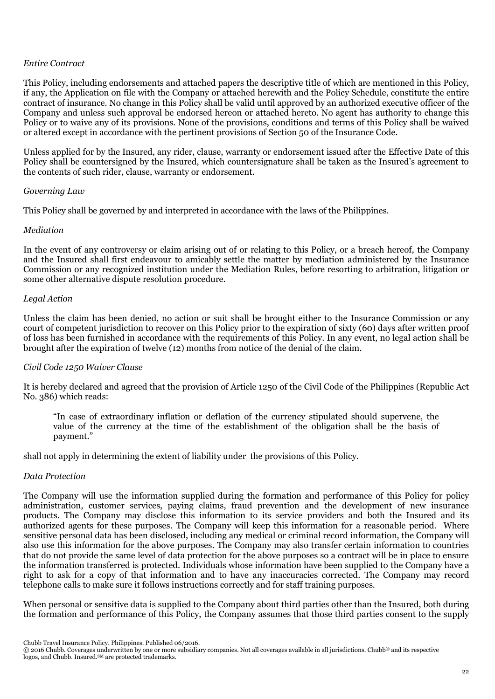#### *Entire Contract*

This Policy, including endorsements and attached papers the descriptive title of which are mentioned in this Policy, if any, the Application on file with the Company or attached herewith and the Policy Schedule, constitute the entire contract of insurance. No change in this Policy shall be valid until approved by an authorized executive officer of the Company and unless such approval be endorsed hereon or attached hereto. No agent has authority to change this Policy or to waive any of its provisions. None of the provisions, conditions and terms of this Policy shall be waived or altered except in accordance with the pertinent provisions of Section 50 of the Insurance Code.

Unless applied for by the Insured, any rider, clause, warranty or endorsement issued after the Effective Date of this Policy shall be countersigned by the Insured, which countersignature shall be taken as the Insured's agreement to the contents of such rider, clause, warranty or endorsement.

# *Governing Law*

This Policy shall be governed by and interpreted in accordance with the laws of the Philippines.

# *Mediation*

In the event of any controversy or claim arising out of or relating to this Policy, or a breach hereof, the Company and the Insured shall first endeavour to amicably settle the matter by mediation administered by the Insurance Commission or any recognized institution under the Mediation Rules, before resorting to arbitration, litigation or some other alternative dispute resolution procedure.

# *Legal Action*

Unless the claim has been denied, no action or suit shall be brought either to the Insurance Commission or any court of competent jurisdiction to recover on this Policy prior to the expiration of sixty (60) days after written proof of loss has been furnished in accordance with the requirements of this Policy. In any event, no legal action shall be brought after the expiration of twelve (12) months from notice of the denial of the claim.

#### *Civil Code 1250 Waiver Clause*

It is hereby declared and agreed that the provision of Article 1250 of the Civil Code of the Philippines (Republic Act No. 386) which reads:

"In case of extraordinary inflation or deflation of the currency stipulated should supervene, the value of the currency at the time of the establishment of the obligation shall be the basis of payment."

shall not apply in determining the extent of liability under the provisions of this Policy.

#### *Data Protection*

The Company will use the information supplied during the formation and performance of this Policy for policy administration, customer services, paying claims, fraud prevention and the development of new insurance products. The Company may disclose this information to its service providers and both the Insured and its authorized agents for these purposes. The Company will keep this information for a reasonable period. Where sensitive personal data has been disclosed, including any medical or criminal record information, the Company will also use this information for the above purposes. The Company may also transfer certain information to countries that do not provide the same level of data protection for the above purposes so a contract will be in place to ensure the information transferred is protected. Individuals whose information have been supplied to the Company have a right to ask for a copy of that information and to have any inaccuracies corrected. The Company may record telephone calls to make sure it follows instructions correctly and for staff training purposes.

When personal or sensitive data is supplied to the Company about third parties other than the Insured, both during the formation and performance of this Policy, the Company assumes that those third parties consent to the supply

Chubb Travel Insurance Policy. Philippines. Published 06/2016.

<sup>© 2016</sup> Chubb. Coverages underwritten by one or more subsidiary companies. Not all coverages available in all jurisdictions. Chubb® and its respective logos, and Chubb. Insured.<sup>SM</sup> are protected trademarks.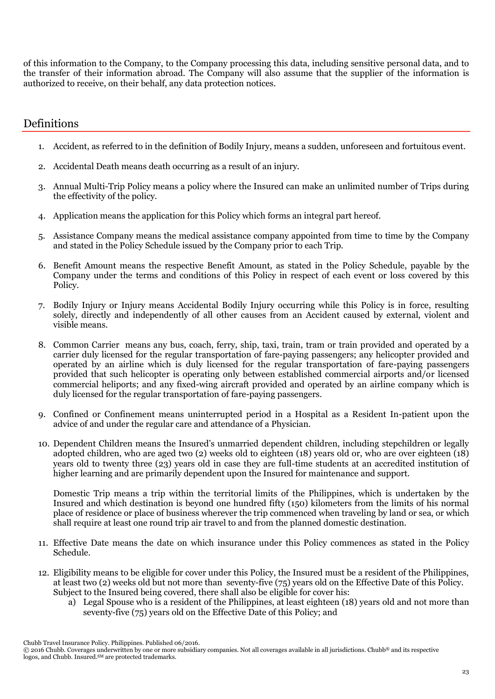of this information to the Company, to the Company processing this data, including sensitive personal data, and to the transfer of their information abroad. The Company will also assume that the supplier of the information is authorized to receive, on their behalf, any data protection notices.

# **Definitions**

- 1. Accident, as referred to in the definition of Bodily Injury, means a sudden, unforeseen and fortuitous event.
- 2. Accidental Death means death occurring as a result of an injury.
- 3. Annual Multi-Trip Policy means a policy where the Insured can make an unlimited number of Trips during the effectivity of the policy.
- 4. Application means the application for this Policy which forms an integral part hereof.
- 5. Assistance Company means the medical assistance company appointed from time to time by the Company and stated in the Policy Schedule issued by the Company prior to each Trip.
- 6. Benefit Amount means the respective Benefit Amount, as stated in the Policy Schedule, payable by the Company under the terms and conditions of this Policy in respect of each event or loss covered by this Policy.
- 7. Bodily Injury or Injury means Accidental Bodily Injury occurring while this Policy is in force, resulting solely, directly and independently of all other causes from an Accident caused by external, violent and visible means.
- 8. Common Carrier means any bus, coach, ferry, ship, taxi, train, tram or train provided and operated by a carrier duly licensed for the regular transportation of fare-paying passengers; any helicopter provided and operated by an airline which is duly licensed for the regular transportation of fare-paying passengers provided that such helicopter is operating only between established commercial airports and/or licensed commercial heliports; and any fixed-wing aircraft provided and operated by an airline company which is duly licensed for the regular transportation of fare-paying passengers.
- 9. Confined or Confinement means uninterrupted period in a Hospital as a Resident In-patient upon the advice of and under the regular care and attendance of a Physician.
- 10. Dependent Children means the Insured's unmarried dependent children, including stepchildren or legally adopted children, who are aged two (2) weeks old to eighteen (18) years old or, who are over eighteen (18) years old to twenty three (23) years old in case they are full-time students at an accredited institution of higher learning and are primarily dependent upon the Insured for maintenance and support.

Domestic Trip means a trip within the territorial limits of the Philippines, which is undertaken by the Insured and which destination is beyond one hundred fifty (150) kilometers from the limits of his normal place of residence or place of business wherever the trip commenced when traveling by land or sea, or which shall require at least one round trip air travel to and from the planned domestic destination.

- 11. Effective Date means the date on which insurance under this Policy commences as stated in the Policy Schedule.
- 12. Eligibility means to be eligible for cover under this Policy, the Insured must be a resident of the Philippines, at least two (2) weeks old but not more than seventy-five (75) years old on the Effective Date of this Policy. Subject to the Insured being covered, there shall also be eligible for cover his:
	- a) Legal Spouse who is a resident of the Philippines, at least eighteen (18) years old and not more than seventy-five (75) years old on the Effective Date of this Policy; and

Chubb Travel Insurance Policy. Philippines. Published 06/2016.

<sup>© 2016</sup> Chubb. Coverages underwritten by one or more subsidiary companies. Not all coverages available in all jurisdictions. Chubb® and its respective logos, and Chubb. Insured.<sup>SM</sup> are protected trademarks.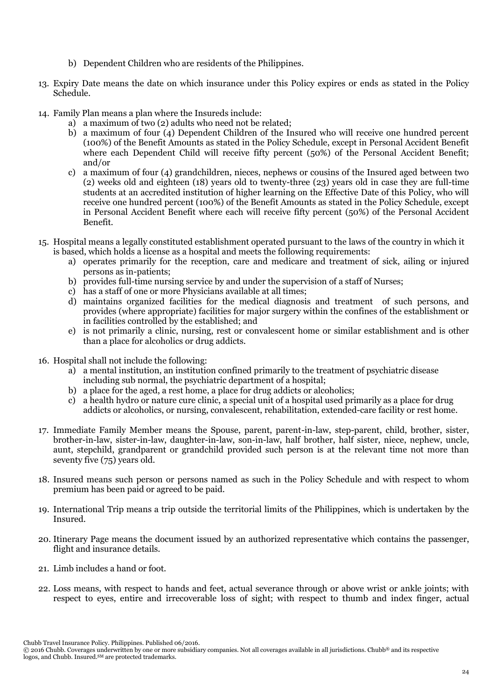- b) Dependent Children who are residents of the Philippines.
- 13. Expiry Date means the date on which insurance under this Policy expires or ends as stated in the Policy Schedule.
- 14. Family Plan means a plan where the Insureds include:
	- a) a maximum of two (2) adults who need not be related;
	- b) a maximum of four (4) Dependent Children of the Insured who will receive one hundred percent (100%) of the Benefit Amounts as stated in the Policy Schedule, except in Personal Accident Benefit where each Dependent Child will receive fifty percent (50%) of the Personal Accident Benefit; and/or
	- c) a maximum of four (4) grandchildren, nieces, nephews or cousins of the Insured aged between two (2) weeks old and eighteen (18) years old to twenty-three (23) years old in case they are full-time students at an accredited institution of higher learning on the Effective Date of this Policy, who will receive one hundred percent (100%) of the Benefit Amounts as stated in the Policy Schedule, except in Personal Accident Benefit where each will receive fifty percent (50%) of the Personal Accident Benefit.
- 15. Hospital means a legally constituted establishment operated pursuant to the laws of the country in which it is based, which holds a license as a hospital and meets the following requirements:
	- a) operates primarily for the reception, care and medicare and treatment of sick, ailing or injured persons as in-patients;
	- b) provides full-time nursing service by and under the supervision of a staff of Nurses;
	- c) has a staff of one or more Physicians available at all times;
	- d) maintains organized facilities for the medical diagnosis and treatment of such persons, and provides (where appropriate) facilities for major surgery within the confines of the establishment or in facilities controlled by the established; and
	- e) is not primarily a clinic, nursing, rest or convalescent home or similar establishment and is other than a place for alcoholics or drug addicts.
- 16. Hospital shall not include the following:
	- a) a mental institution, an institution confined primarily to the treatment of psychiatric disease including sub normal, the psychiatric department of a hospital;
	- b) a place for the aged, a rest home, a place for drug addicts or alcoholics;
	- c) a health hydro or nature cure clinic, a special unit of a hospital used primarily as a place for drug addicts or alcoholics, or nursing, convalescent, rehabilitation, extended-care facility or rest home.
- 17. Immediate Family Member means the Spouse, parent, parent-in-law, step-parent, child, brother, sister, brother-in-law, sister-in-law, daughter-in-law, son-in-law, half brother, half sister, niece, nephew, uncle, aunt, stepchild, grandparent or grandchild provided such person is at the relevant time not more than seventy five (75) years old.
- 18. Insured means such person or persons named as such in the Policy Schedule and with respect to whom premium has been paid or agreed to be paid.
- 19. International Trip means a trip outside the territorial limits of the Philippines, which is undertaken by the Insured.
- 20. Itinerary Page means the document issued by an authorized representative which contains the passenger, flight and insurance details.
- 21. Limb includes a hand or foot.
- 22. Loss means, with respect to hands and feet, actual severance through or above wrist or ankle joints; with respect to eyes, entire and irrecoverable loss of sight; with respect to thumb and index finger, actual

<sup>© 2016</sup> Chubb. Coverages underwritten by one or more subsidiary companies. Not all coverages available in all jurisdictions. Chubb® and its respective logos, and Chubb. Insured.<sup>SM</sup> are protected trademarks.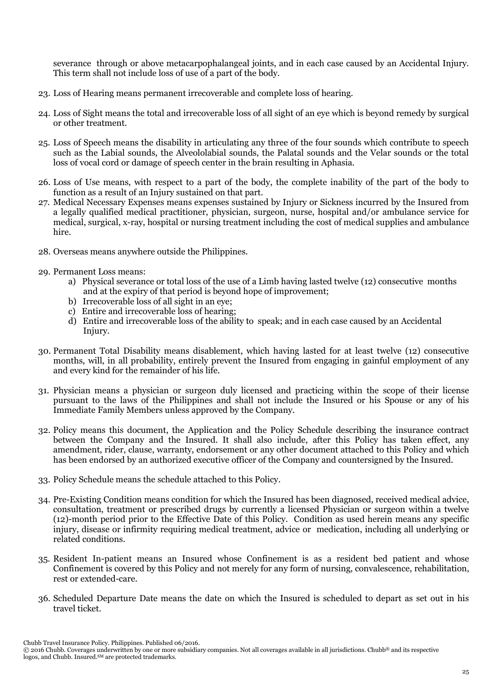severance through or above metacarpophalangeal joints, and in each case caused by an Accidental Injury. This term shall not include loss of use of a part of the body.

- 23. Loss of Hearing means permanent irrecoverable and complete loss of hearing.
- 24. Loss of Sight means the total and irrecoverable loss of all sight of an eye which is beyond remedy by surgical or other treatment.
- 25. Loss of Speech means the disability in articulating any three of the four sounds which contribute to speech such as the Labial sounds, the Alveololabial sounds, the Palatal sounds and the Velar sounds or the total loss of vocal cord or damage of speech center in the brain resulting in Aphasia.
- 26. Loss of Use means, with respect to a part of the body, the complete inability of the part of the body to function as a result of an Injury sustained on that part.
- 27. Medical Necessary Expenses means expenses sustained by Injury or Sickness incurred by the Insured from a legally qualified medical practitioner, physician, surgeon, nurse, hospital and/or ambulance service for medical, surgical, x-ray, hospital or nursing treatment including the cost of medical supplies and ambulance hire.
- 28. Overseas means anywhere outside the Philippines.
- 29. Permanent Loss means:
	- a) Physical severance or total loss of the use of a Limb having lasted twelve (12) consecutive months and at the expiry of that period is beyond hope of improvement;
	- b) Irrecoverable loss of all sight in an eye;
	- c) Entire and irrecoverable loss of hearing;
	- d) Entire and irrecoverable loss of the ability to speak; and in each case caused by an Accidental Injury.
- 30. Permanent Total Disability means disablement, which having lasted for at least twelve (12) consecutive months, will, in all probability, entirely prevent the Insured from engaging in gainful employment of any and every kind for the remainder of his life.
- 31. Physician means a physician or surgeon duly licensed and practicing within the scope of their license pursuant to the laws of the Philippines and shall not include the Insured or his Spouse or any of his Immediate Family Members unless approved by the Company.
- 32. Policy means this document, the Application and the Policy Schedule describing the insurance contract between the Company and the Insured. It shall also include, after this Policy has taken effect, any amendment, rider, clause, warranty, endorsement or any other document attached to this Policy and which has been endorsed by an authorized executive officer of the Company and countersigned by the Insured.
- 33. Policy Schedule means the schedule attached to this Policy.
- 34. Pre-Existing Condition means condition for which the Insured has been diagnosed, received medical advice, consultation, treatment or prescribed drugs by currently a licensed Physician or surgeon within a twelve (12)-month period prior to the Effective Date of this Policy. Condition as used herein means any specific injury, disease or infirmity requiring medical treatment, advice or medication, including all underlying or related conditions.
- 35. Resident In-patient means an Insured whose Confinement is as a resident bed patient and whose Confinement is covered by this Policy and not merely for any form of nursing, convalescence, rehabilitation, rest or extended-care.
- 36. Scheduled Departure Date means the date on which the Insured is scheduled to depart as set out in his travel ticket.

Chubb Travel Insurance Policy. Philippines. Published 06/2016.

<sup>© 2016</sup> Chubb. Coverages underwritten by one or more subsidiary companies. Not all coverages available in all jurisdictions. Chubb® and its respective logos, and Chubb. Insured.<sup>SM</sup> are protected trademarks.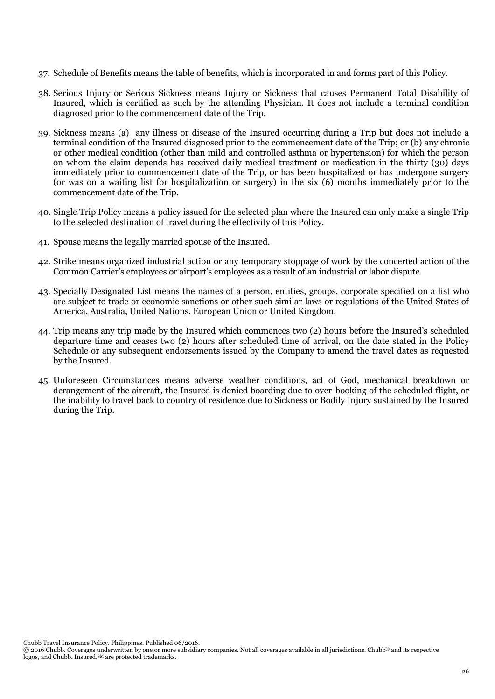- 37. Schedule of Benefits means the table of benefits, which is incorporated in and forms part of this Policy.
- 38. Serious Injury or Serious Sickness means Injury or Sickness that causes Permanent Total Disability of Insured, which is certified as such by the attending Physician. It does not include a terminal condition diagnosed prior to the commencement date of the Trip.
- 39. Sickness means (a) any illness or disease of the Insured occurring during a Trip but does not include a terminal condition of the Insured diagnosed prior to the commencement date of the Trip; or (b) any chronic or other medical condition (other than mild and controlled asthma or hypertension) for which the person on whom the claim depends has received daily medical treatment or medication in the thirty (30) days immediately prior to commencement date of the Trip, or has been hospitalized or has undergone surgery (or was on a waiting list for hospitalization or surgery) in the six (6) months immediately prior to the commencement date of the Trip.
- 40. Single Trip Policy means a policy issued for the selected plan where the Insured can only make a single Trip to the selected destination of travel during the effectivity of this Policy.
- 41. Spouse means the legally married spouse of the Insured.
- 42. Strike means organized industrial action or any temporary stoppage of work by the concerted action of the Common Carrier's employees or airport's employees as a result of an industrial or labor dispute.
- 43. Specially Designated List means the names of a person, entities, groups, corporate specified on a list who are subject to trade or economic sanctions or other such similar laws or regulations of the United States of America, Australia, United Nations, European Union or United Kingdom.
- 44. Trip means any trip made by the Insured which commences two (2) hours before the Insured's scheduled departure time and ceases two (2) hours after scheduled time of arrival, on the date stated in the Policy Schedule or any subsequent endorsements issued by the Company to amend the travel dates as requested by the Insured.
- 45. Unforeseen Circumstances means adverse weather conditions, act of God, mechanical breakdown or derangement of the aircraft, the Insured is denied boarding due to over-booking of the scheduled flight, or the inability to travel back to country of residence due to Sickness or Bodily Injury sustained by the Insured during the Trip.

<sup>© 2016</sup> Chubb. Coverages underwritten by one or more subsidiary companies. Not all coverages available in all jurisdictions. Chubb® and its respective logos, and Chubb. Insured.<sup>SM</sup> are protected trademarks.